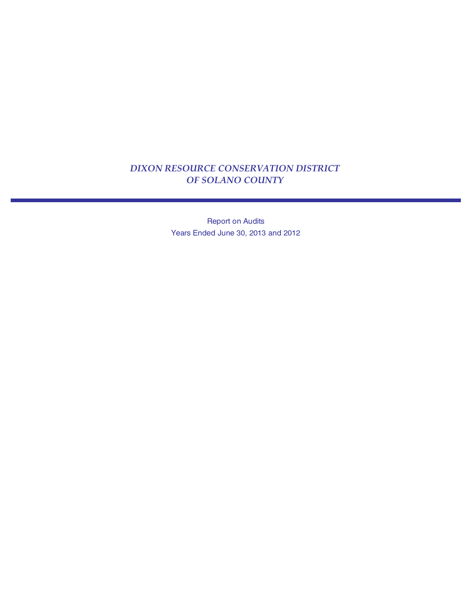Report on Audits Years Ended June 30, 2013 and 2012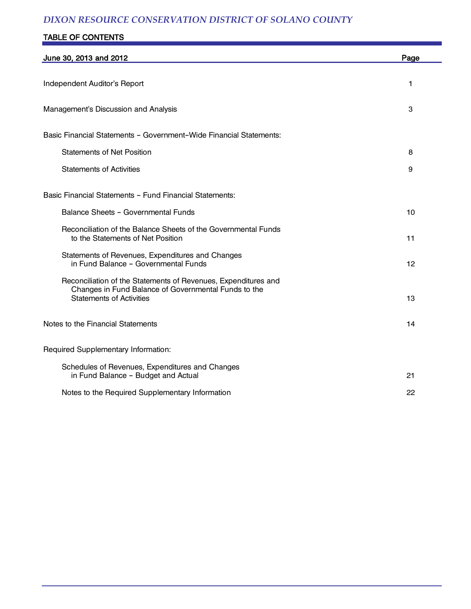# TABLE OF CONTENTS

| June 30, 2013 and 2012                                                                                                                                    | Page |
|-----------------------------------------------------------------------------------------------------------------------------------------------------------|------|
| Independent Auditor's Report                                                                                                                              | 1    |
| Management's Discussion and Analysis                                                                                                                      | 3    |
| Basic Financial Statements - Government-Wide Financial Statements:                                                                                        |      |
| <b>Statements of Net Position</b>                                                                                                                         | 8    |
| <b>Statements of Activities</b>                                                                                                                           | 9    |
| Basic Financial Statements - Fund Financial Statements:                                                                                                   |      |
| Balance Sheets - Governmental Funds                                                                                                                       | 10   |
| Reconciliation of the Balance Sheets of the Governmental Funds<br>to the Statements of Net Position                                                       | 11   |
| Statements of Revenues, Expenditures and Changes<br>in Fund Balance - Governmental Funds                                                                  | 12   |
| Reconciliation of the Statements of Revenues, Expenditures and<br>Changes in Fund Balance of Governmental Funds to the<br><b>Statements of Activities</b> | 13   |
| Notes to the Financial Statements                                                                                                                         | 14   |
| Required Supplementary Information:                                                                                                                       |      |
| Schedules of Revenues, Expenditures and Changes<br>in Fund Balance - Budget and Actual                                                                    | 21   |
| Notes to the Required Supplementary Information                                                                                                           | 22   |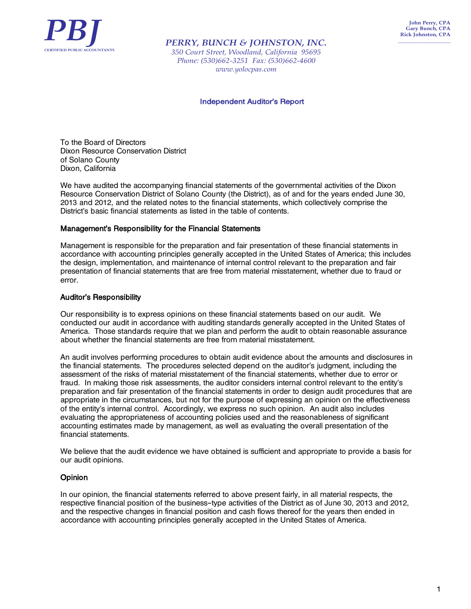

**\_\_\_\_\_\_\_\_\_\_\_\_\_\_\_\_\_\_\_** *PERRY, BUNCH & JOHNSTON, INC. 350 Court Street, Woodland, California 95695 Phone: (530)662-3251 Fax: (530)662-4600 www.yolocpas.com*

#### Independent Auditor's Report

To the Board of Directors Dixon Resource Conservation District of Solano County Dixon, California

We have audited the accompanying financial statements of the governmental activities of the Dixon Resource Conservation District of Solano County (the District), as of and for the years ended June 30, 2013 and 2012, and the related notes to the financial statements, which collectively comprise the District's basic financial statements as listed in the table of contents.

#### Management's Responsibility for the Financial Statements

Management is responsible for the preparation and fair presentation of these financial statements in accordance with accounting principles generally accepted in the United States of America; this includes the design, implementation, and maintenance of internal control relevant to the preparation and fair presentation of financial statements that are free from material misstatement, whether due to fraud or error.

#### Auditor's Responsibility

Our responsibility is to express opinions on these financial statements based on our audit. We conducted our audit in accordance with auditing standards generally accepted in the United States of America. Those standards require that we plan and perform the audit to obtain reasonable assurance about whether the financial statements are free from material misstatement.

An audit involves performing procedures to obtain audit evidence about the amounts and disclosures in the financial statements. The procedures selected depend on the auditor's judgment, including the assessment of the risks of material misstatement of the financial statements, whether due to error or fraud. In making those risk assessments, the auditor considers internal control relevant to the entity's preparation and fair presentation of the financial statements in order to design audit procedures that are appropriate in the circumstances, but not for the purpose of expressing an opinion on the effectiveness of the entity's internal control. Accordingly, we express no such opinion. An audit also includes evaluating the appropriateness of accounting policies used and the reasonableness of significant accounting estimates made by management, as well as evaluating the overall presentation of the financial statements.

We believe that the audit evidence we have obtained is sufficient and appropriate to provide a basis for our audit opinions.

### **Opinion**

In our opinion, the financial statements referred to above present fairly, in all material respects, the respective financial position of the business-type activities of the District as of June 30, 2013 and 2012, and the respective changes in financial position and cash flows thereof for the years then ended in accordance with accounting principles generally accepted in the United States of America.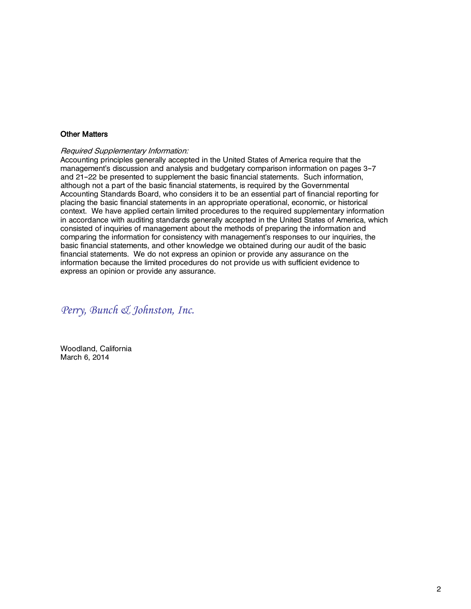### Other Matters

#### Required Supplementary Information:

Accounting principles generally accepted in the United States of America require that the management's discussion and analysis and budgetary comparison information on pages 3-7 and 21-22 be presented to supplement the basic financial statements. Such information, although not a part of the basic financial statements, is required by the Governmental Accounting Standards Board, who considers it to be an essential part of financial reporting for placing the basic financial statements in an appropriate operational, economic, or historical context. We have applied certain limited procedures to the required supplementary information in accordance with auditing standards generally accepted in the United States of America, which consisted of inquiries of management about the methods of preparing the information and comparing the information for consistency with management's responses to our inquiries, the basic financial statements, and other knowledge we obtained during our audit of the basic financial statements. We do not express an opinion or provide any assurance on the information because the limited procedures do not provide us with sufficient evidence to express an opinion or provide any assurance.

*Perry, Bunch & Johnston, Inc.*

Woodland, California March 6, 2014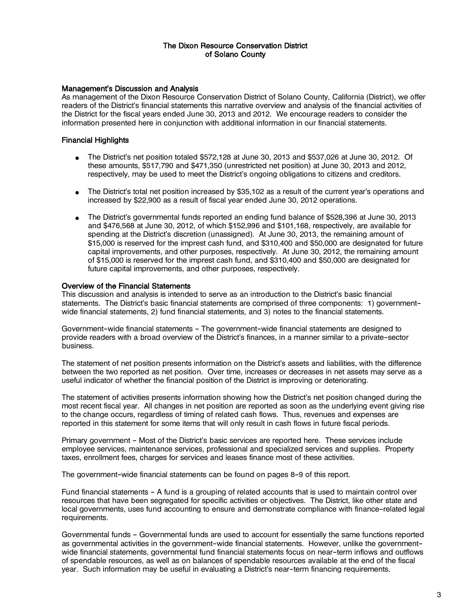#### The Dixon Resource Conservation District of Solano County

### Management's Discussion and Analysis

As management of the Dixon Resource Conservation District of Solano County, California (District), we offer readers of the District's financial statements this narrative overview and analysis of the financial activities of the District for the fiscal years ended June 30, 2013 and 2012. We encourage readers to consider the information presented here in conjunction with additional information in our financial statements.

## Financial Highlights

- The District's net position totaled \$572,128 at June 30, 2013 and \$537,026 at June 30, 2012. Of these amounts, \$517,790 and \$471,350 (unrestricted net position) at June 30, 2013 and 2012, respectively, may be used to meet the District's ongoing obligations to citizens and creditors.
- The District's total net position increased by \$35,102 as a result of the current year's operations and increased by \$22,900 as a result of fiscal year ended June 30, 2012 operations.
- The District's governmental funds reported an ending fund balance of \$528,396 at June 30, 2013 and \$476,568 at June 30, 2012, of which \$152,996 and \$101,168, respectively, are available for spending at the District's discretion (unassigned). At June 30, 2013, the remaining amount of \$15,000 is reserved for the imprest cash fund, and \$310,400 and \$50,000 are designated for future capital improvements, and other purposes, respectively. At June 30, 2012, the remaining amount of \$15,000 is reserved for the imprest cash fund, and \$310,400 and \$50,000 are designated for future capital improvements, and other purposes, respectively.

## Overview of the Financial Statements

This discussion and analysis is intended to serve as an introduction to the District's basic financial statements. The District's basic financial statements are comprised of three components: 1) governmentwide financial statements, 2) fund financial statements, and 3) notes to the financial statements.

Government-wide financial statements - The government-wide financial statements are designed to provide readers with a broad overview of the District's finances, in a manner similar to a private-sector business.

The statement of net position presents information on the District's assets and liabilities, with the difference between the two reported as net position. Over time, increases or decreases in net assets may serve as a useful indicator of whether the financial position of the District is improving or deteriorating.

The statement of activities presents information showing how the District's net position changed during the most recent fiscal year. All changes in net position are reported as soon as the underlying event giving rise to the change occurs, regardless of timing of related cash flows. Thus, revenues and expenses are reported in this statement for some items that will only result in cash flows in future fiscal periods.

Primary government - Most of the District's basic services are reported here. These services include employee services, maintenance services, professional and specialized services and supplies. Property taxes, enrollment fees, charges for services and leases finance most of these activities.

The government-wide financial statements can be found on pages 8-9 of this report.

Fund financial statements - A fund is a grouping of related accounts that is used to maintain control over resources that have been segregated for specific activities or objectives. The District, like other state and local governments, uses fund accounting to ensure and demonstrate compliance with finance-related legal requirements.

Governmental funds - Governmental funds are used to account for essentially the same functions reported as governmental activities in the government-wide financial statements. However, unlike the governmentwide financial statements, governmental fund financial statements focus on near-term inflows and outflows of spendable resources, as well as on balances of spendable resources available at the end of the fiscal year. Such information may be useful in evaluating a District's near-term financing requirements.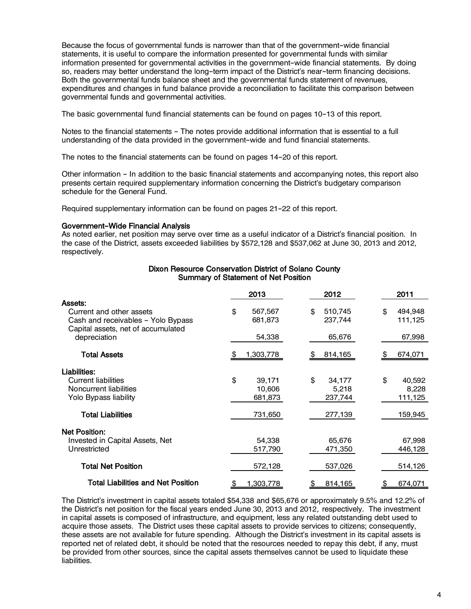Because the focus of governmental funds is narrower than that of the government-wide financial statements, it is useful to compare the information presented for governmental funds with similar information presented for governmental activities in the government-wide financial statements. By doing so, readers may better understand the long-term impact of the District's near-term financing decisions. Both the governmental funds balance sheet and the governmental funds statement of revenues, expenditures and changes in fund balance provide a reconciliation to facilitate this comparison between governmental funds and governmental activities.

The basic governmental fund financial statements can be found on pages 10-13 of this report.

Notes to the financial statements – The notes provide additional information that is essential to a full understanding of the data provided in the government-wide and fund financial statements.

The notes to the financial statements can be found on pages 14-20 of this report.

Other information - In addition to the basic financial statements and accompanying notes, this report also presents certain required supplementary information concerning the District's budgetary comparison schedule for the General Fund.

Required supplementary information can be found on pages 21-22 of this report.

#### Government-Wide Financial Analysis

As noted earlier, net position may serve over time as a useful indicator of a District's financial position. In the case of the District, assets exceeded liabilities by \$572,128 and \$537,062 at June 30, 2013 and 2012, respectively.

#### Dixon Resource Conservation District of Solano County Summary of Statement of Net Position

|                                                                          | 2013             |    | 2012           |    | 2011    |
|--------------------------------------------------------------------------|------------------|----|----------------|----|---------|
| Assets:                                                                  |                  |    |                |    |         |
| Current and other assets                                                 | \$<br>567,567    | \$ | 510,745        | \$ | 494,948 |
| Cash and receivables - Yolo Bypass<br>Capital assets, net of accumulated | 681,873          |    | 237,744        |    | 111,125 |
| depreciation                                                             | 54,338           |    | 65,676         |    | 67,998  |
| <b>Total Assets</b>                                                      | <u>1,303,778</u> | S. | <u>814,165</u> |    | 674,071 |
| Liabilities:                                                             |                  |    |                |    |         |
| <b>Current liabilities</b>                                               | \$<br>39,171     | \$ | 34,177         | \$ | 40,592  |
| Noncurrent liabilities                                                   | 10,606           |    | 5,218          |    | 8,228   |
| Yolo Bypass liability                                                    | 681,873          |    | 237,744        |    | 111,125 |
| <b>Total Liabilities</b>                                                 | 731,650          |    | 277,139        |    | 159,945 |
| <b>Net Position:</b>                                                     |                  |    |                |    |         |
| Invested in Capital Assets, Net                                          | 54,338           |    | 65,676         |    | 67,998  |
| Unrestricted                                                             | 517,790          |    | 471,350        |    | 446,128 |
| <b>Total Net Position</b>                                                | 572,128          |    | 537,026        |    | 514,126 |
| <b>Total Liabilities and Net Position</b>                                | \$<br>1,303,778  | \$ | 814,165        | \$ | 674,071 |

The District's investment in capital assets totaled \$54,338 and \$65,676 or approximately 9.5% and 12.2% of the District's net position for the fiscal years ended June 30, 2013 and 2012, respectively. The investment in capital assets is composed of infrastructure, and equipment, less any related outstanding debt used to acquire those assets. The District uses these capital assets to provide services to citizens; consequently, these assets are not available for future spending. Although the District's investment in its capital assets is reported net of related debt, it should be noted that the resources needed to repay this debt, if any, must be provided from other sources, since the capital assets themselves cannot be used to liquidate these liabilities.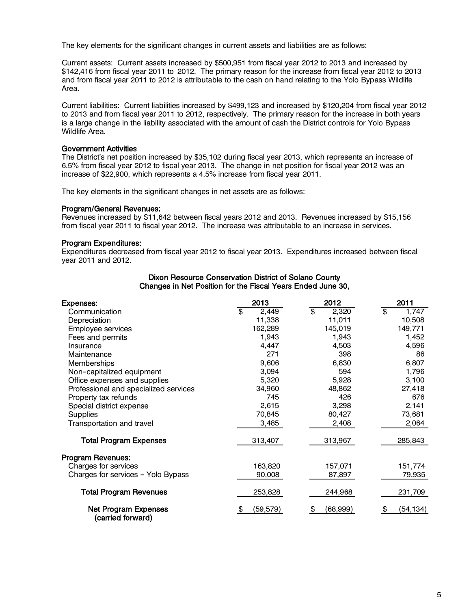The key elements for the significant changes in current assets and liabilities are as follows:

Current assets: Current assets increased by \$500,951 from fiscal year 2012 to 2013 and increased by \$142,416 from fiscal year 2011 to 2012. The primary reason for the increase from fiscal year 2012 to 2013 and from fiscal year 2011 to 2012 is attributable to the cash on hand relating to the Yolo Bypass Wildlife Area.

Current liabilities: Current liabilities increased by \$499,123 and increased by \$120,204 from fiscal year 2012 to 2013 and from fiscal year 2011 to 2012, respectively. The primary reason for the increase in both years is a large change in the liability associated with the amount of cash the District controls for Yolo Bypass Wildlife Area.

### Government Activities

The District's net position increased by \$35,102 during fiscal year 2013, which represents an increase of 6.5% from fiscal year 2012 to fiscal year 2013. The change in net position for fiscal year 2012 was an increase of \$22,900, which represents a 4.5% increase from fiscal year 2011.

The key elements in the significant changes in net assets are as follows:

## Program/General Revenues:

Revenues increased by \$11,642 between fiscal years 2012 and 2013. Revenues increased by \$15,156 from fiscal year 2011 to fiscal year 2012. The increase was attributable to an increase in services.

## Program Expenditures:

Expenditures decreased from fiscal year 2012 to fiscal year 2013. Expenditures increased between fiscal year 2011 and 2012.

| Expenses:                                        | 2013           | 2012                             | 2011                             |
|--------------------------------------------------|----------------|----------------------------------|----------------------------------|
| Communication                                    | \$<br>2,449    | $\overline{\mathbb{S}}$<br>2,320 | $\overline{\mathbb{S}}$<br>1,747 |
| Depreciation                                     | 11,338         | 11,011                           | 10,508                           |
| Employee services                                | 162,289        | 145,019                          | 149,771                          |
| Fees and permits                                 | 1,943          | 1,943                            | 1,452                            |
| Insurance                                        | 4,447          | 4,503                            | 4,596                            |
| Maintenance                                      | 271            | 398                              | 86                               |
| Memberships                                      | 9,606          | 6,830                            | 6,807                            |
| Non-capitalized equipment                        | 3,094          | 594                              | 1,796                            |
| Office expenses and supplies                     | 5,320          | 5,928                            | 3,100                            |
| Professional and specialized services            | 34,960         | 48,862                           | 27,418                           |
| Property tax refunds                             | 745            | 426                              | 676                              |
| Special district expense                         | 2,615          | 3,298                            | 2,141                            |
| <b>Supplies</b>                                  | 70,845         | 80,427                           | 73,681                           |
| Transportation and travel                        | 3,485          | 2,408                            | 2,064                            |
| <b>Total Program Expenses</b>                    | 313,407        | 313,967                          | 285,843                          |
| Program Revenues:                                |                |                                  |                                  |
| Charges for services                             | 163,820        | 157,071                          | 151,774                          |
| Charges for services - Yolo Bypass               | 90,008         | 87,897                           | 79,935                           |
| <b>Total Program Revenues</b>                    | 253,828        | 244,968                          | 231,709                          |
| <b>Net Program Expenses</b><br>(carried forward) | (59,579)<br>\$ | (68,999)<br>S                    | \$<br>(54, 134)                  |

#### Changes in Net Position for the Fiscal Years Ended June 30, Dixon Resource Conservation District of Solano County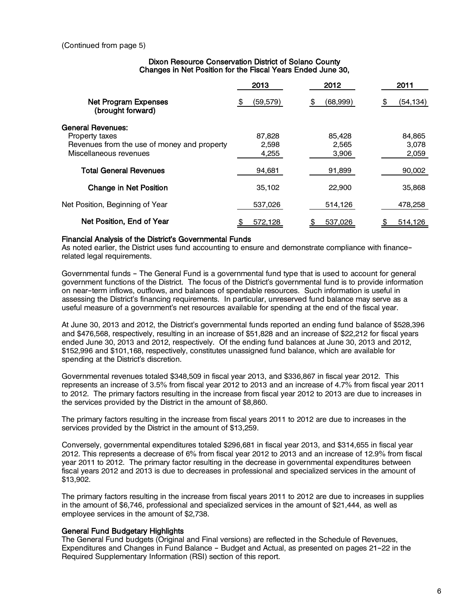#### Dixon Resource Conservation District of Solano County Changes in Net Position for the Fiscal Years Ended June 30,

|                                                                                                              | 2013                     | 2012                     | 2011                     |
|--------------------------------------------------------------------------------------------------------------|--------------------------|--------------------------|--------------------------|
| <b>Net Program Expenses</b><br>(brought forward)                                                             | (59, 579)<br>S           | (68,999)                 | (54, 134)<br>\$          |
| General Revenues:<br>Property taxes<br>Revenues from the use of money and property<br>Miscellaneous revenues | 87,828<br>2,598<br>4,255 | 85,428<br>2,565<br>3,906 | 84,865<br>3,078<br>2,059 |
| <b>Total General Revenues</b>                                                                                | 94,681                   | 91,899                   | 90,002                   |
| <b>Change in Net Position</b>                                                                                | 35.102                   | 22,900                   | 35,868                   |
| Net Position, Beginning of Year                                                                              | 537,026                  | 514,126                  | 478,258                  |
| Net Position, End of Year                                                                                    | 572,128                  | 537,026                  | 514,126                  |

#### Financial Analysis of the District's Governmental Funds

As noted earlier, the District uses fund accounting to ensure and demonstrate compliance with financerelated legal requirements.

Governmental funds - The General Fund is a governmental fund type that is used to account for general government functions of the District. The focus of the District's governmental fund is to provide information on near-term inflows, outflows, and balances of spendable resources. Such information is useful in assessing the District's financing requirements. In particular, unreserved fund balance may serve as a useful measure of a government's net resources available for spending at the end of the fiscal year.

At June 30, 2013 and 2012, the District's governmental funds reported an ending fund balance of \$528,396 and \$476,568, respectively, resulting in an increase of \$51,828 and an increase of \$22,212 for fiscal years ended June 30, 2013 and 2012, respectively. Of the ending fund balances at June 30, 2013 and 2012, \$152,996 and \$101,168, respectively, constitutes unassigned fund balance, which are available for spending at the District's discretion.

Governmental revenues totaled \$348,509 in fiscal year 2013, and \$336,867 in fiscal year 2012. This represents an increase of 3.5% from fiscal year 2012 to 2013 and an increase of 4.7% from fiscal year 2011 to 2012. The primary factors resulting in the increase from fiscal year 2012 to 2013 are due to increases in the services provided by the District in the amount of \$8,860.

The primary factors resulting in the increase from fiscal years 2011 to 2012 are due to increases in the services provided by the District in the amount of \$13,259.

Conversely, governmental expenditures totaled \$296,681 in fiscal year 2013, and \$314,655 in fiscal year 2012. This represents a decrease of 6% from fiscal year 2012 to 2013 and an increase of 12.9% from fiscal year 2011 to 2012. The primary factor resulting in the decrease in governmental expenditures between fiscal years 2012 and 2013 is due to decreases in professional and specialized services in the amount of \$13,902.

The primary factors resulting in the increase from fiscal years 2011 to 2012 are due to increases in supplies in the amount of \$6,746, professional and specialized services in the amount of \$21,444, as well as employee services in the amount of \$2,738.

### General Fund Budgetary Highlights

The General Fund budgets (Original and Final versions) are reflected in the Schedule of Revenues, Expenditures and Changes in Fund Balance - Budget and Actual, as presented on pages 21-22 in the Required Supplementary Information (RSI) section of this report.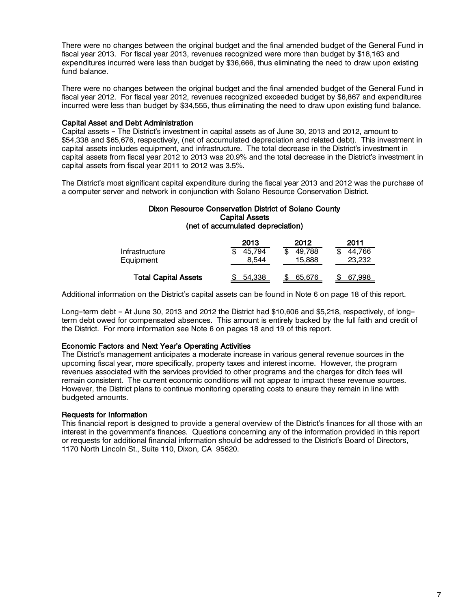There were no changes between the original budget and the final amended budget of the General Fund in fiscal year 2013. For fiscal year 2013, revenues recognized were more than budget by \$18,163 and expenditures incurred were less than budget by \$36,666, thus eliminating the need to draw upon existing fund balance.

There were no changes between the original budget and the final amended budget of the General Fund in fiscal year 2012. For fiscal year 2012, revenues recognized exceeded budget by \$6,867 and expenditures incurred were less than budget by \$34,555, thus eliminating the need to draw upon existing fund balance.

## Capital Asset and Debt Administration

Capital assets - The District's investment in capital assets as of June 30, 2013 and 2012, amount to \$54,338 and \$65,676, respectively, (net of accumulated depreciation and related debt). This investment in capital assets includes equipment, and infrastructure. The total decrease in the District's investment in capital assets from fiscal year 2012 to 2013 was 20.9% and the total decrease in the District's investment in capital assets from fiscal year 2011 to 2012 was 3.5%.

The District's most significant capital expenditure during the fiscal year 2013 and 2012 was the purchase of a computer server and network in conjunction with Solano Resource Conservation District.

#### (net of accumulated depreciation) Capital Assets Dixon Resource Conservation District of Solano County

|                             | 2013   | 2012   | 2011   |
|-----------------------------|--------|--------|--------|
| Infrastructure              | 45.794 | 49.788 | 44.766 |
| Equipment                   | 8.544  | 15,888 | 23.232 |
|                             |        |        |        |
| <b>Total Capital Assets</b> | 54.338 | 65.676 | 67.998 |

Additional information on the District's capital assets can be found in Note 6 on page 18 of this report.

Long-term debt - At June 30, 2013 and 2012 the District had \$10,606 and \$5,218, respectively, of longterm debt owed for compensated absences. This amount is entirely backed by the full faith and credit of the District. For more information see Note 6 on pages 18 and 19 of this report.

### Economic Factors and Next Year's Operating Activities

The District's management anticipates a moderate increase in various general revenue sources in the upcoming fiscal year, more specifically, property taxes and interest income. However, the program revenues associated with the services provided to other programs and the charges for ditch fees will remain consistent. The current economic conditions will not appear to impact these revenue sources. However, the District plans to continue monitoring operating costs to ensure they remain in line with budgeted amounts.

### Requests for Information

This financial report is designed to provide a general overview of the District's finances for all those with an interest in the government's finances. Questions concerning any of the information provided in this report or requests for additional financial information should be addressed to the District's Board of Directors, 1170 North Lincoln St., Suite 110, Dixon, CA 95620.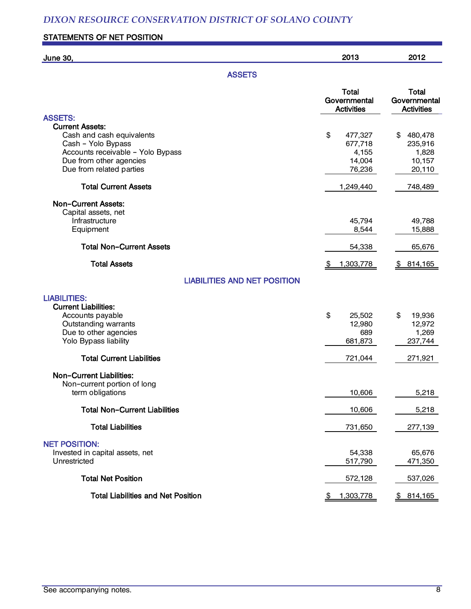## STATEMENTS OF NET POSITION

| June 30.                                                                                                                                    | 2013                                                  | 2012                                                  |
|---------------------------------------------------------------------------------------------------------------------------------------------|-------------------------------------------------------|-------------------------------------------------------|
| <b>ASSETS</b>                                                                                                                               |                                                       |                                                       |
|                                                                                                                                             | Total<br>Governmental<br><b>Activities</b>            | <b>Total</b><br>Governmental<br><b>Activities</b>     |
| <b>ASSETS:</b><br><b>Current Assets:</b>                                                                                                    |                                                       |                                                       |
| Cash and cash equivalents<br>Cash - Yolo Bypass<br>Accounts receivable - Yolo Bypass<br>Due from other agencies<br>Due from related parties | \$<br>477,327<br>677,718<br>4,155<br>14,004<br>76,236 | \$<br>480,478<br>235,916<br>1,828<br>10,157<br>20,110 |
| <b>Total Current Assets</b>                                                                                                                 | 1,249,440                                             | 748,489                                               |
| <b>Non-Current Assets:</b><br>Capital assets, net                                                                                           |                                                       |                                                       |
| Infrastructure<br>Equipment                                                                                                                 | 45,794<br>8,544                                       | 49,788<br>15,888                                      |
| <b>Total Non-Current Assets</b>                                                                                                             | 54,338                                                | 65,676                                                |
| <b>Total Assets</b>                                                                                                                         | 1,303,778<br>\$                                       | 814,165<br>\$                                         |
| <b>LIABILITIES AND NET POSITION</b>                                                                                                         |                                                       |                                                       |
| <b>LIABILITIES:</b><br><b>Current Liabilities:</b>                                                                                          |                                                       |                                                       |
| Accounts payable<br>Outstanding warrants<br>Due to other agencies                                                                           | \$<br>25,502<br>12,980<br>689                         | \$<br>19,936<br>12,972<br>1,269                       |
| Yolo Bypass liability                                                                                                                       | 681,873                                               | 237,744                                               |
| <b>Total Current Liabilities</b>                                                                                                            | 721,044                                               | 271,921                                               |
| <b>Non-Current Liabilities:</b><br>Non-current portion of long<br>term obligations                                                          | 10,606                                                | 5,218                                                 |
| <b>Total Non-Current Liabilities</b>                                                                                                        | 10,606                                                | 5,218                                                 |
| <b>Total Liabilities</b>                                                                                                                    | 731,650                                               | 277,139                                               |
| <b>NET POSITION:</b><br>Invested in capital assets, net<br>Unrestricted                                                                     | 54,338<br>517,790                                     | 65,676<br>471,350                                     |
| <b>Total Net Position</b>                                                                                                                   | 572,128                                               | 537,026                                               |
| <b>Total Liabilities and Net Position</b>                                                                                                   | 1,303,778                                             | \$ 814,165                                            |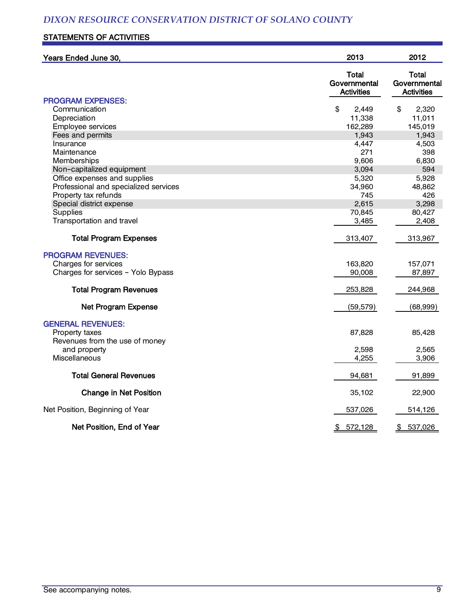## STATEMENTS OF ACTIVITIES

| Years Ended June 30,                                                         | 2013                                       | 2012                                       |
|------------------------------------------------------------------------------|--------------------------------------------|--------------------------------------------|
|                                                                              | Total<br>Governmental<br><b>Activities</b> | Total<br>Governmental<br><b>Activities</b> |
| <b>PROGRAM EXPENSES:</b>                                                     |                                            |                                            |
| Communication                                                                | \$<br>2,449                                | \$<br>2,320                                |
| Depreciation                                                                 | 11,338                                     | 11,011                                     |
| Employee services<br>Fees and permits                                        | 162,289<br>1,943                           | 145,019<br>1,943                           |
| Insurance                                                                    | 4,447                                      | 4,503                                      |
| Maintenance                                                                  | 271                                        | 398                                        |
| Memberships                                                                  | 9,606                                      | 6,830                                      |
| Non-capitalized equipment                                                    | 3,094                                      | 594                                        |
| Office expenses and supplies                                                 | 5,320                                      | 5,928                                      |
| Professional and specialized services                                        | 34,960                                     | 48,862                                     |
| Property tax refunds                                                         | 745                                        | 426                                        |
| Special district expense                                                     | 2,615                                      | 3,298                                      |
| <b>Supplies</b>                                                              | 70,845                                     | 80,427                                     |
| Transportation and travel                                                    | 3,485                                      | 2,408                                      |
| <b>Total Program Expenses</b>                                                | 313,407                                    | 313,967                                    |
| <b>PROGRAM REVENUES:</b>                                                     |                                            |                                            |
| Charges for services                                                         | 163,820                                    | 157,071                                    |
| Charges for services - Yolo Bypass                                           | 90,008                                     | 87,897                                     |
| <b>Total Program Revenues</b>                                                | 253,828                                    | 244,968                                    |
| <b>Net Program Expense</b>                                                   | (59, 579)                                  | (68, 999)                                  |
| <b>GENERAL REVENUES:</b><br>Property taxes<br>Revenues from the use of money | 87,828                                     | 85,428                                     |
| and property                                                                 | 2,598                                      | 2,565                                      |
| Miscellaneous                                                                | 4,255                                      | 3,906                                      |
| <b>Total General Revenues</b>                                                | 94,681                                     | 91,899                                     |
| <b>Change in Net Position</b>                                                | 35,102                                     | 22,900                                     |
| Net Position, Beginning of Year                                              | 537,026                                    | 514,126                                    |
| Net Position, End of Year                                                    | 572,128<br><u>\$</u>                       | 537,026<br>\$                              |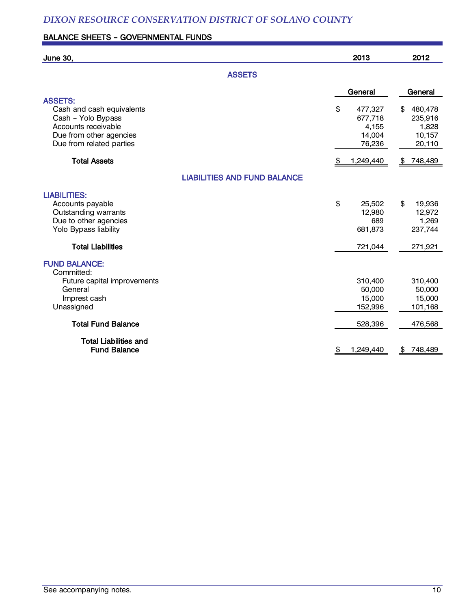## BALANCE SHEETS - GOVERNMENTAL FUNDS

| <b>June 30,</b>                                                                                                                                 | 2013                                | 2012                                                                               |
|-------------------------------------------------------------------------------------------------------------------------------------------------|-------------------------------------|------------------------------------------------------------------------------------|
|                                                                                                                                                 | <b>ASSETS</b>                       |                                                                                    |
|                                                                                                                                                 | General                             | General                                                                            |
| <b>ASSETS:</b><br>Cash and cash equivalents<br>Cash - Yolo Bypass<br>Accounts receivable<br>Due from other agencies<br>Due from related parties | \$<br>477,327<br>677,718            | 480,478<br>\$<br>235,916<br>4,155<br>1,828<br>14,004<br>10,157<br>76,236<br>20,110 |
| <b>Total Assets</b>                                                                                                                             | <u>1,249,440</u><br>Ψ               | \$748,489                                                                          |
|                                                                                                                                                 | <b>LIABILITIES AND FUND BALANCE</b> |                                                                                    |
| <b>LIABILITIES:</b><br>Accounts payable                                                                                                         | \$                                  | \$<br>25,502<br>19,936                                                             |
| Outstanding warrants<br>Due to other agencies<br>Yolo Bypass liability                                                                          | 681,873                             | 12,980<br>12,972<br>689<br>1,269<br>237,744                                        |
| <b>Total Liabilities</b>                                                                                                                        | 721,044                             | 271,921                                                                            |
| <b>FUND BALANCE:</b><br>Committed:                                                                                                              |                                     |                                                                                    |
| Future capital improvements                                                                                                                     | 310,400                             | 310,400                                                                            |
| General<br>Imprest cash<br>Unassigned                                                                                                           | 152,996                             | 50,000<br>50,000<br>15,000<br>15,000<br>101,168                                    |
| <b>Total Fund Balance</b>                                                                                                                       | 528,396                             | 476,568                                                                            |
| <b>Total Liabilities and</b><br><b>Fund Balance</b>                                                                                             | 1,249,440<br>P.                     | 748,489<br>S                                                                       |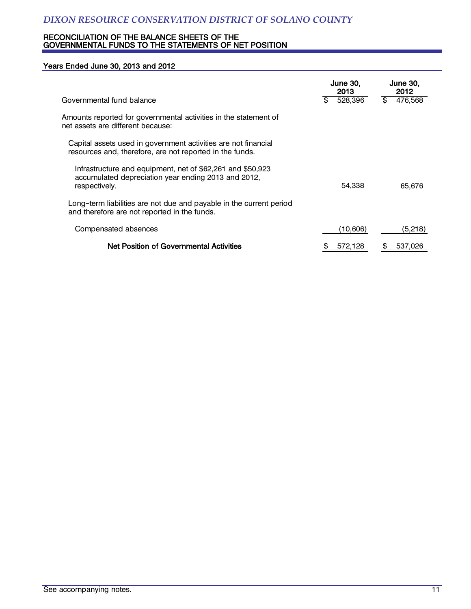#### RECONCILIATION OF THE BALANCE SHEETS OF THE GOVERNMENTAL FUNDS TO THE STATEMENTS OF NET POSITION

## Years Ended June 30, 2013 and 2012

|                                                                                                                                    |   | <b>June 30,</b><br>2013 |    | <b>June 30,</b><br>2012 |
|------------------------------------------------------------------------------------------------------------------------------------|---|-------------------------|----|-------------------------|
| Governmental fund balance                                                                                                          |   | 528,396                 | \$ | 476,568                 |
| Amounts reported for governmental activities in the statement of<br>net assets are different because:                              |   |                         |    |                         |
| Capital assets used in government activities are not financial<br>resources and, therefore, are not reported in the funds.         |   |                         |    |                         |
| Infrastructure and equipment, net of \$62,261 and \$50,923<br>accumulated depreciation year ending 2013 and 2012,<br>respectively. |   | 54.338                  |    | 65.676                  |
| Long-term liabilities are not due and payable in the current period<br>and therefore are not reported in the funds.                |   |                         |    |                         |
| Compensated absences                                                                                                               |   | (10,606)                |    | (5,218)                 |
| Net Position of Governmental Activities                                                                                            | P | 572.128                 | Ъ  | 537.026                 |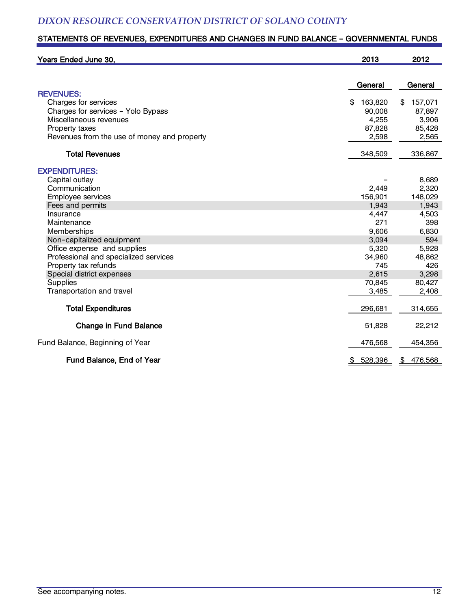## STATEMENTS OF REVENUES, EXPENDITURES AND CHANGES IN FUND BALANCE - GOVERNMENTAL FUNDS

| Years Ended June 30,                        | 2013           | 2012           |
|---------------------------------------------|----------------|----------------|
|                                             | General        | General        |
| <b>REVENUES:</b>                            |                |                |
| Charges for services                        | 163,820<br>\$. | 157,071<br>\$. |
| Charges for services - Yolo Bypass          | 90,008         | 87,897         |
| Miscellaneous revenues                      | 4,255          | 3,906          |
| Property taxes                              | 87,828         | 85,428         |
| Revenues from the use of money and property | 2,598          | 2,565          |
| <b>Total Revenues</b>                       | 348,509        | 336,867        |
| <b>EXPENDITURES:</b>                        |                |                |
| Capital outlay                              |                | 8,689          |
| Communication                               | 2,449          | 2,320          |
| <b>Employee services</b>                    | 156,901        | 148,029        |
| Fees and permits                            | 1,943          | 1,943          |
| Insurance                                   | 4,447          | 4,503          |
| Maintenance                                 | 271            | 398            |
| Memberships                                 | 9,606          | 6,830          |
| Non-capitalized equipment                   | 3,094          | 594            |
| Office expense and supplies                 | 5,320          | 5,928          |
| Professional and specialized services       | 34,960         | 48,862         |
| Property tax refunds                        | 745            | 426            |
| Special district expenses                   | 2,615          | 3,298          |
| <b>Supplies</b>                             | 70,845         | 80,427         |
| Transportation and travel                   | 3,485          | 2,408          |
| <b>Total Expenditures</b>                   | 296,681        | 314,655        |
| <b>Change in Fund Balance</b>               | 51,828         | 22,212         |
| Fund Balance, Beginning of Year             | 476,568        | 454,356        |
| Fund Balance, End of Year                   | 528,396<br>\$  | 476,568<br>\$  |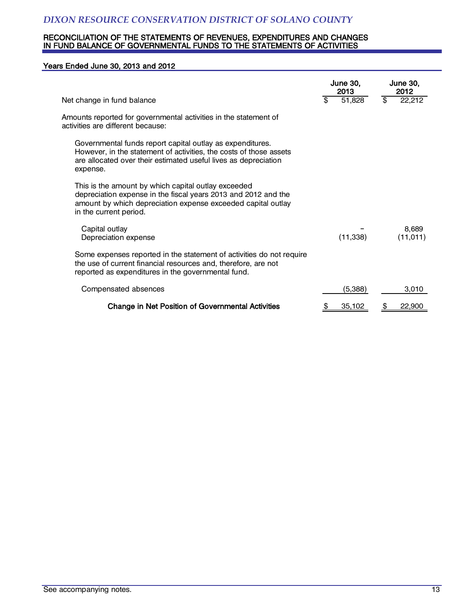#### RECONCILIATION OF THE STATEMENTS OF REVENUES, EXPENDITURES AND CHANGES IN FUND BALANCE OF GOVERNMENTAL FUNDS TO THE STATEMENTS OF ACTIVITIES

## Years Ended June 30, 2013 and 2012

|                                                                                                                                                                                                                 | <b>June 30,</b><br>2013 | <b>June 30,</b><br>2012 |
|-----------------------------------------------------------------------------------------------------------------------------------------------------------------------------------------------------------------|-------------------------|-------------------------|
| Net change in fund balance                                                                                                                                                                                      | \$<br>51.828            | \$<br>22,212            |
| Amounts reported for governmental activities in the statement of<br>activities are different because:                                                                                                           |                         |                         |
| Governmental funds report capital outlay as expenditures.<br>However, in the statement of activities, the costs of those assets<br>are allocated over their estimated useful lives as depreciation<br>expense.  |                         |                         |
| This is the amount by which capital outlay exceeded<br>depreciation expense in the fiscal years 2013 and 2012 and the<br>amount by which depreciation expense exceeded capital outlay<br>in the current period. |                         |                         |
| Capital outlay<br>Depreciation expense                                                                                                                                                                          | (11, 338)               | 8.689<br>(11, 011)      |
| Some expenses reported in the statement of activities do not require<br>the use of current financial resources and, therefore, are not<br>reported as expenditures in the governmental fund.                    |                         |                         |
| Compensated absences                                                                                                                                                                                            | (5,388)                 | 3,010                   |
| <b>Change in Net Position of Governmental Activities</b>                                                                                                                                                        | 35,102                  | 22,900                  |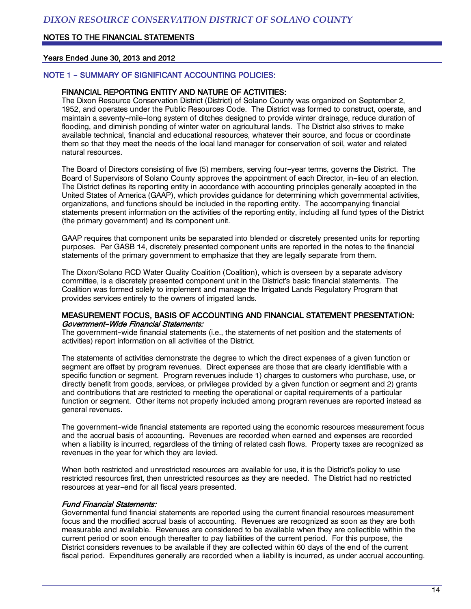#### Years Ended June 30, 2013 and 2012

## NOTE 1 - SUMMARY OF SIGNIFICANT ACCOUNTING POLICIES:

### FINANCIAL REPORTING ENTITY AND NATURE OF ACTIVITIES:

The Dixon Resource Conservation District (District) of Solano County was organized on September 2, 1952, and operates under the Public Resources Code. The District was formed to construct, operate, and maintain a seventy-mile-long system of ditches designed to provide winter drainage, reduce duration of flooding, and diminish ponding of winter water on agricultural lands. The District also strives to make available technical, financial and educational resources, whatever their source, and focus or coordinate them so that they meet the needs of the local land manager for conservation of soil, water and related natural resources.

The Board of Directors consisting of five (5) members, serving four-year terms, governs the District. The Board of Supervisors of Solano County approves the appointment of each Director, in-lieu of an election. The District defines its reporting entity in accordance with accounting principles generally accepted in the United States of America (GAAP), which provides guidance for determining which governmental activities, organizations, and functions should be included in the reporting entity. The accompanying financial statements present information on the activities of the reporting entity, including all fund types of the District (the primary government) and its component unit.

GAAP requires that component units be separated into blended or discretely presented units for reporting purposes. Per GASB 14, discretely presented component units are reported in the notes to the financial statements of the primary government to emphasize that they are legally separate from them.

The Dixon/Solano RCD Water Quality Coalition (Coalition), which is overseen by a separate advisory committee, is a discretely presented component unit in the District's basic financial statements. The Coalition was formed solely to implement and manage the Irrigated Lands Regulatory Program that provides services entirely to the owners of irrigated lands.

#### MEASUREMENT FOCUS, BASIS OF ACCOUNTING AND FINANCIAL STATEMENT PRESENTATION: Government-Wide Financial Statements:

The government-wide financial statements (i.e., the statements of net position and the statements of activities) report information on all activities of the District.

The statements of activities demonstrate the degree to which the direct expenses of a given function or segment are offset by program revenues. Direct expenses are those that are clearly identifiable with a specific function or segment. Program revenues include 1) charges to customers who purchase, use, or directly benefit from goods, services, or privileges provided by a given function or segment and 2) grants and contributions that are restricted to meeting the operational or capital requirements of a particular function or segment. Other items not properly included among program revenues are reported instead as general revenues.

The government-wide financial statements are reported using the economic resources measurement focus and the accrual basis of accounting. Revenues are recorded when earned and expenses are recorded when a liability is incurred, regardless of the timing of related cash flows. Property taxes are recognized as revenues in the year for which they are levied.

When both restricted and unrestricted resources are available for use, it is the District's policy to use restricted resources first, then unrestricted resources as they are needed. The District had no restricted resources at year-end for all fiscal years presented.

#### Fund Financial Statements:

Governmental fund financial statements are reported using the current financial resources measurement focus and the modified accrual basis of accounting. Revenues are recognized as soon as they are both measurable and available. Revenues are considered to be available when they are collectible within the current period or soon enough thereafter to pay liabilities of the current period. For this purpose, the District considers revenues to be available if they are collected within 60 days of the end of the current fiscal period. Expenditures generally are recorded when a liability is incurred, as under accrual accounting.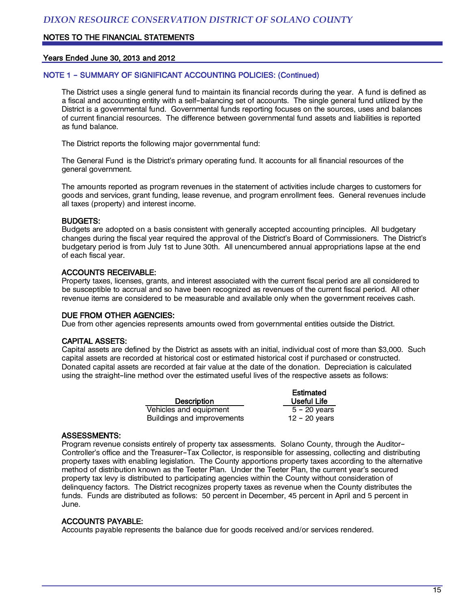## Years Ended June 30, 2013 and 2012

## NOTE 1 - SUMMARY OF SIGNIFICANT ACCOUNTING POLICIES: (Continued)

The District uses a single general fund to maintain its financial records during the year. A fund is defined as a fiscal and accounting entity with a self-balancing set of accounts. The single general fund utilized by the District is a governmental fund. Governmental funds reporting focuses on the sources, uses and balances of current financial resources. The difference between governmental fund assets and liabilities is reported as fund balance.

The District reports the following major governmental fund:

The General Fund is the District's primary operating fund. It accounts for all financial resources of the general government.

The amounts reported as program revenues in the statement of activities include charges to customers for goods and services, grant funding, lease revenue, and program enrollment fees. General revenues include all taxes (property) and interest income.

## BUDGETS:

Budgets are adopted on a basis consistent with generally accepted accounting principles. All budgetary changes during the fiscal year required the approval of the District's Board of Commissioners. The District's budgetary period is from July 1st to June 30th. All unencumbered annual appropriations lapse at the end of each fiscal year.

## ACCOUNTS RECEIVABLE:

Property taxes, licenses, grants, and interest associated with the current fiscal period are all considered to be susceptible to accrual and so have been recognized as revenues of the current fiscal period. All other revenue items are considered to be measurable and available only when the government receives cash.

### DUE FROM OTHER AGENCIES:

Due from other agencies represents amounts owed from governmental entities outside the District.

## CAPITAL ASSETS:

Capital assets are defined by the District as assets with an initial, individual cost of more than \$3,000. Such capital assets are recorded at historical cost or estimated historical cost if purchased or constructed. Donated capital assets are recorded at fair value at the date of the donation. Depreciation is calculated using the straight-line method over the estimated useful lives of the respective assets as follows:

Estimated

| <b>Description</b>         | Estritated<br>Useful Life |
|----------------------------|---------------------------|
| Vehicles and equipment     | 5 - 20 years              |
| Buildings and improvements | $12 - 20$ years           |

### ASSESSMENTS:

Program revenue consists entirely of property tax assessments. Solano County, through the Auditor-Controller's office and the Treasurer-Tax Collector, is responsible for assessing, collecting and distributing property taxes with enabling legislation. The County apportions property taxes according to the alternative method of distribution known as the Teeter Plan. Under the Teeter Plan, the current year's secured property tax levy is distributed to participating agencies within the County without consideration of delinquency factors. The District recognizes property taxes as revenue when the County distributes the funds. Funds are distributed as follows: 50 percent in December, 45 percent in April and 5 percent in June.

## ACCOUNTS PAYABLE:

Accounts payable represents the balance due for goods received and/or services rendered.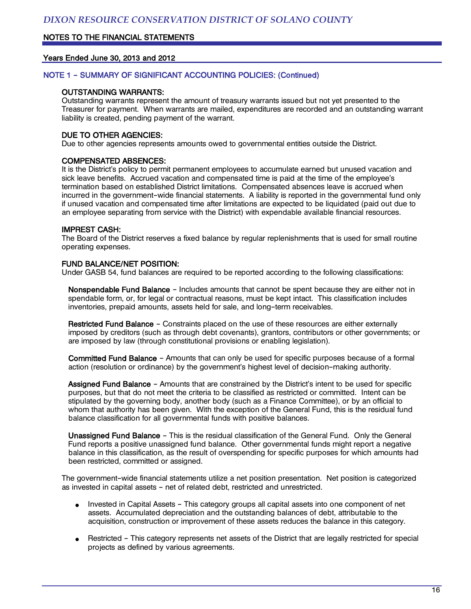### Years Ended June 30, 2013 and 2012

## NOTE 1 - SUMMARY OF SIGNIFICANT ACCOUNTING POLICIES: (Continued)

#### OUTSTANDING WARRANTS:

Outstanding warrants represent the amount of treasury warrants issued but not yet presented to the Treasurer for payment. When warrants are mailed, expenditures are recorded and an outstanding warrant liability is created, pending payment of the warrant.

## DUE TO OTHER AGENCIES:

Due to other agencies represents amounts owed to governmental entities outside the District.

## COMPENSATED ABSENCES:

It is the District's policy to permit permanent employees to accumulate earned but unused vacation and sick leave benefits. Accrued vacation and compensated time is paid at the time of the employee's termination based on established District limitations. Compensated absences leave is accrued when incurred in the government-wide financial statements. A liability is reported in the governmental fund only if unused vacation and compensated time after limitations are expected to be liquidated (paid out due to an employee separating from service with the District) with expendable available financial resources.

### IMPREST CASH:

The Board of the District reserves a fixed balance by regular replenishments that is used for small routine operating expenses.

## FUND BALANCE/NET POSITION:

Under GASB 54, fund balances are required to be reported according to the following classifications:

Nonspendable Fund Balance - Includes amounts that cannot be spent because they are either not in spendable form, or, for legal or contractual reasons, must be kept intact. This classification includes inventories, prepaid amounts, assets held for sale, and long-term receivables.

Restricted Fund Balance - Constraints placed on the use of these resources are either externally imposed by creditors (such as through debt covenants), grantors, contributors or other governments; or are imposed by law (through constitutional provisions or enabling legislation).

Committed Fund Balance - Amounts that can only be used for specific purposes because of a formal action (resolution or ordinance) by the government's highest level of decision-making authority.

Assigned Fund Balance - Amounts that are constrained by the District's intent to be used for specific purposes, but that do not meet the criteria to be classified as restricted or committed. Intent can be stipulated by the governing body, another body (such as a Finance Committee), or by an official to whom that authority has been given. With the exception of the General Fund, this is the residual fund balance classification for all governmental funds with positive balances.

Unassigned Fund Balance - This is the residual classification of the General Fund. Only the General Fund reports a positive unassigned fund balance. Other governmental funds might report a negative balance in this classification, as the result of overspending for specific purposes for which amounts had been restricted, committed or assigned.

The government-wide financial statements utilize a net position presentation. Net position is categorized as invested in capital assets - net of related debt, restricted and unrestricted.

- Invested in Capital Assets This category groups all capital assets into one component of net assets. Accumulated depreciation and the outstanding balances of debt, attributable to the acquisition, construction or improvement of these assets reduces the balance in this category.
- Restricted This category represents net assets of the District that are legally restricted for special projects as defined by various agreements.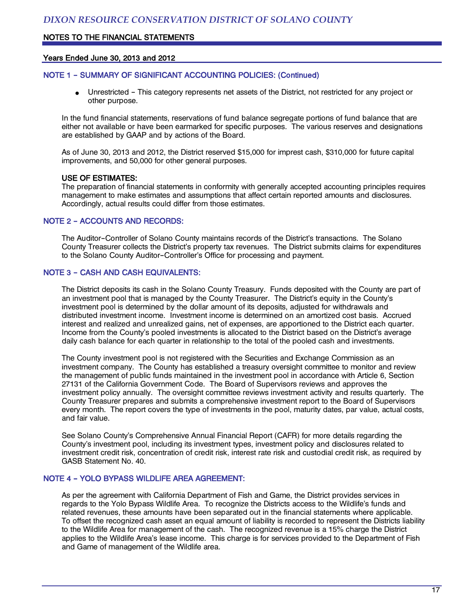#### Years Ended June 30, 2013 and 2012

## NOTE 1 - SUMMARY OF SIGNIFICANT ACCOUNTING POLICIES: (Continued)

● Unrestricted – This category represents net assets of the District, not restricted for any project or other purpose.

In the fund financial statements, reservations of fund balance segregate portions of fund balance that are either not available or have been earmarked for specific purposes. The various reserves and designations are established by GAAP and by actions of the Board.

As of June 30, 2013 and 2012, the District reserved \$15,000 for imprest cash, \$310,000 for future capital improvements, and 50,000 for other general purposes.

#### USE OF ESTIMATES:

The preparation of financial statements in conformity with generally accepted accounting principles requires management to make estimates and assumptions that affect certain reported amounts and disclosures. Accordingly, actual results could differ from those estimates.

## NOTE 2 - ACCOUNTS AND RECORDS:

The Auditor-Controller of Solano County maintains records of the District's transactions. The Solano County Treasurer collects the District's property tax revenues. The District submits claims for expenditures to the Solano County Auditor-Controller's Office for processing and payment.

## NOTE 3 - CASH AND CASH EQUIVALENTS:

The District deposits its cash in the Solano County Treasury. Funds deposited with the County are part of an investment pool that is managed by the County Treasurer. The District's equity in the County's investment pool is determined by the dollar amount of its deposits, adjusted for withdrawals and distributed investment income. Investment income is determined on an amortized cost basis. Accrued interest and realized and unrealized gains, net of expenses, are apportioned to the District each quarter. Income from the County's pooled investments is allocated to the District based on the District's average daily cash balance for each quarter in relationship to the total of the pooled cash and investments.

The County investment pool is not registered with the Securities and Exchange Commission as an investment company. The County has established a treasury oversight committee to monitor and review the management of public funds maintained in the investment pool in accordance with Article 6, Section 27131 of the California Government Code. The Board of Supervisors reviews and approves the investment policy annually. The oversight committee reviews investment activity and results quarterly. The County Treasurer prepares and submits a comprehensive investment report to the Board of Supervisors every month. The report covers the type of investments in the pool, maturity dates, par value, actual costs, and fair value.

See Solano County's Comprehensive Annual Financial Report (CAFR) for more details regarding the County's investment pool, including its investment types, investment policy and disclosures related to investment credit risk, concentration of credit risk, interest rate risk and custodial credit risk, as required by GASB Statement No. 40.

## NOTE 4 - YOLO BYPASS WILDLIFE AREA AGREEMENT:

As per the agreement with California Department of Fish and Game, the District provides services in regards to the Yolo Bypass Wildlife Area. To recognize the Districts access to the Wildlife's funds and related revenues, these amounts have been separated out in the financial statements where applicable. To offset the recognized cash asset an equal amount of liability is recorded to represent the Districts liability to the Wildlife Area for management of the cash. The recognized revenue is a 15% charge the District applies to the Wildlife Area's lease income. This charge is for services provided to the Department of Fish and Game of management of the Wildlife area.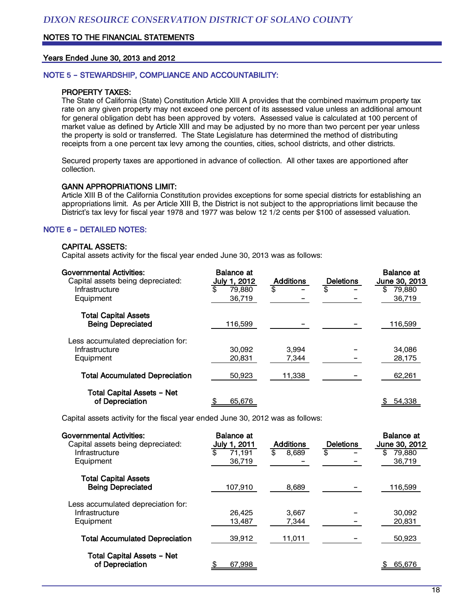## Years Ended June 30, 2013 and 2012

## NOTE 5 - STEWARDSHIP, COMPLIANCE AND ACCOUNTABILITY:

#### PROPERTY TAXES:

The State of California (State) Constitution Article XIII A provides that the combined maximum property tax rate on any given property may not exceed one percent of its assessed value unless an additional amount for general obligation debt has been approved by voters. Assessed value is calculated at 100 percent of market value as defined by Article XIII and may be adjusted by no more than two percent per year unless the property is sold or transferred. The State Legislature has determined the method of distributing receipts from a one percent tax levy among the counties, cities, school districts, and other districts.

Secured property taxes are apportioned in advance of collection. All other taxes are apportioned after collection.

## GANN APPROPRIATIONS LIMIT:

Article XIII B of the California Constitution provides exceptions for some special districts for establishing an appropriations limit. As per Article XIII B, the District is not subject to the appropriations limit because the District's tax levy for fiscal year 1978 and 1977 was below 12 1/2 cents per \$100 of assessed valuation.

## NOTE 6 - DETAILED NOTES:

#### CAPITAL ASSETS:

Capital assets activity for the fiscal year ended June 30, 2013 was as follows:

| Governmental Activities:<br>Capital assets being depreciated: | <b>Balance at</b><br>July 1, 2012 | <b>Additions</b> | <b>Deletions</b> | <b>Balance</b> at<br>June 30, 2013 |  |  |
|---------------------------------------------------------------|-----------------------------------|------------------|------------------|------------------------------------|--|--|
| Infrastructure                                                | \$<br>79,880                      | \$               | \$               | 79,880<br>\$                       |  |  |
| Equipment                                                     | 36,719                            |                  |                  | 36,719                             |  |  |
| <b>Total Capital Assets</b>                                   |                                   |                  |                  |                                    |  |  |
| <b>Being Depreciated</b>                                      | 116,599                           |                  |                  | 116,599                            |  |  |
| Less accumulated depreciation for:                            |                                   |                  |                  |                                    |  |  |
| Infrastructure                                                | 30.092                            | 3.994            |                  | 34.086                             |  |  |
| Equipment                                                     | 20,831                            | 7,344            |                  | 28,175                             |  |  |
| <b>Total Accumulated Depreciation</b>                         | 50,923                            | 11,338           |                  | 62,261                             |  |  |
| <b>Total Capital Assets - Net</b>                             |                                   |                  |                  |                                    |  |  |
| of Depreciation                                               | 65,676                            |                  |                  | 54,338                             |  |  |

Capital assets activity for the fiscal year ended June 30, 2012 was as follows:

| Governmental Activities:<br>Capital assets being depreciated: | <b>Balance</b> at<br>July 1, 2011 | Additions   | <b>Deletions</b> | <b>Balance</b> at<br>June 30, 2012 |  |  |
|---------------------------------------------------------------|-----------------------------------|-------------|------------------|------------------------------------|--|--|
| Infrastructure                                                | \$<br>71.191                      | \$<br>8.689 | \$               | \$<br>79,880                       |  |  |
| Equipment                                                     | 36,719                            |             |                  | 36,719                             |  |  |
| <b>Total Capital Assets</b>                                   |                                   |             |                  |                                    |  |  |
| <b>Being Depreciated</b>                                      | 107,910                           | 8,689       |                  | 116,599                            |  |  |
| Less accumulated depreciation for:                            |                                   |             |                  |                                    |  |  |
| Infrastructure                                                | 26.425                            | 3.667       |                  | 30.092                             |  |  |
| Equipment                                                     | 13,487                            | 7,344       |                  | 20,831                             |  |  |
| <b>Total Accumulated Depreciation</b>                         | 39,912                            | 11,011      |                  | 50,923                             |  |  |
| <b>Total Capital Assets - Net</b>                             |                                   |             |                  |                                    |  |  |
| of Depreciation                                               | 67,998                            |             |                  | 65,676                             |  |  |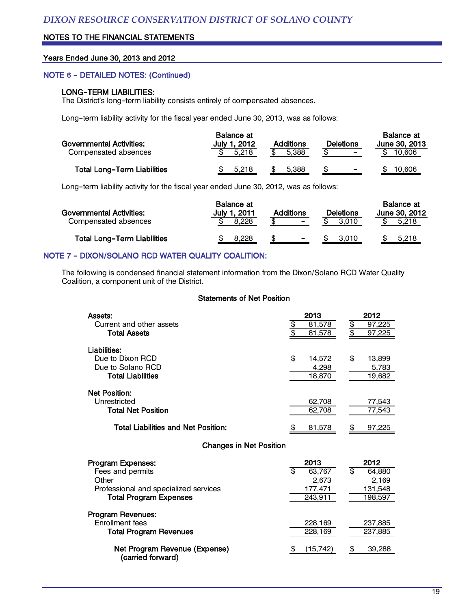## Years Ended June 30, 2013 and 2012

## NOTE 6 - DETAILED NOTES: (Continued)

### LONG-TERM LIABILITIES:

The District's long-term liability consists entirely of compensated absences.

Long-term liability activity for the fiscal year ended June 30, 2013, was as follows:

|                             | <b>Balance at</b> |                  |                          |               |  |  |
|-----------------------------|-------------------|------------------|--------------------------|---------------|--|--|
| Governmental Activities:    | July 1, 2012      | <b>Additions</b> | Deletions                | June 30, 2013 |  |  |
| Compensated absences        | 5.218             | 5.388            | $\qquad \qquad$          | 10,606        |  |  |
| Total Long-Term Liabilities | 5.218             | 5.388            | $\overline{\phantom{0}}$ | 10.606        |  |  |

Long-term liability activity for the fiscal year ended June 30, 2012, was as follows:

| <b>Governmental Activities:</b>    | <b>Balance at</b><br>July 1, 2011 | Additions                | <b>Deletions</b> | <b>Balance at</b><br>June 30, 2012 |  |
|------------------------------------|-----------------------------------|--------------------------|------------------|------------------------------------|--|
| Compensated absences               | 8.228                             | $\overline{\phantom{a}}$ | 3.010            | 5,218                              |  |
| <b>Total Long-Term Liabilities</b> | 8,228                             |                          | - 3,010          | 5,218                              |  |

## NOTE 7 - DIXON/SOLANO RCD WATER QUALITY COALITION:

The following is condensed financial statement information from the Dixon/Solano RCD Water Quality Coalition, a component unit of the District.

### Statements of Net Position

| Assets:                             | 2013         | 2012         |
|-------------------------------------|--------------|--------------|
| Current and other assets            | 81,578       | 97,225       |
| <b>Total Assets</b>                 | 81,578       | 97.225       |
| Liabilities:                        |              |              |
| Due to Dixon RCD                    | \$<br>14,572 | \$<br>13,899 |
| Due to Solano RCD                   | 4,298        | 5,783        |
| <b>Total Liabilities</b>            | 18,870       | 19,682       |
| <b>Net Position:</b>                |              |              |
| Unrestricted                        | 62,708       | 77,543       |
| <b>Total Net Position</b>           | 62,708       | 77,543       |
| Total Liabilities and Net Position: | S<br>81,578  | 97.225<br>S  |

### Changes in Net Position

| Program Expenses:                                  | 2013         | 2012        |
|----------------------------------------------------|--------------|-------------|
| Fees and permits                                   | 63.767<br>\$ | 64.880<br>S |
| Other                                              | 2,673        | 2.169       |
| Professional and specialized services              | 177,471      | 131,548     |
| <b>Total Program Expenses</b>                      | 243,911      | 198,597     |
| <b>Program Revenues:</b>                           |              |             |
| Enrollment fees                                    | 228,169      | 237,885     |
| <b>Total Program Revenues</b>                      | 228,169      | 237,885     |
| Net Program Revenue (Expense)<br>(carried forward) | (15,742)     | S<br>39,288 |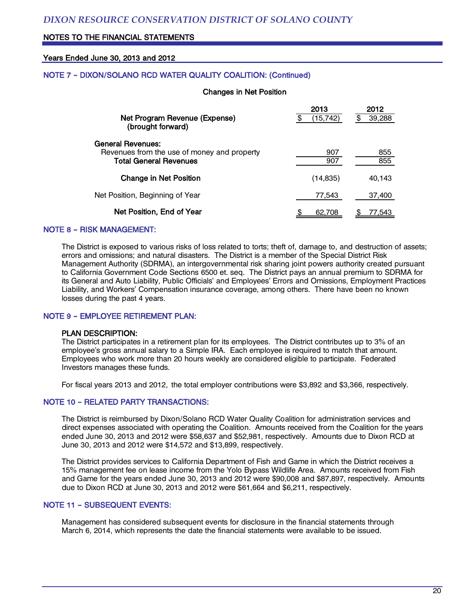## Years Ended June 30, 2013 and 2012

## NOTE 7 - DIXON/SOLANO RCD WATER QUALITY COALITION: (Continued)

#### Changes in Net Position

| Net Program Revenue (Expense)<br>(brought forward)                                                | 2013<br>(15,742) | 2012<br>39,288 |
|---------------------------------------------------------------------------------------------------|------------------|----------------|
| General Revenues:<br>Revenues from the use of money and property<br><b>Total General Revenues</b> | 907<br>907       | 855<br>855     |
| <b>Change in Net Position</b>                                                                     | (14, 835)        | 40,143         |
| Net Position, Beginning of Year                                                                   | 77,543           | 37,400         |
| Net Position, End of Year                                                                         | 62.708           | 77.543         |

## NOTE 8 - RISK MANAGEMENT:

The District is exposed to various risks of loss related to torts; theft of, damage to, and destruction of assets; errors and omissions; and natural disasters. The District is a member of the Special District Risk Management Authority (SDRMA), an intergovernmental risk sharing joint powers authority created pursuant to California Government Code Sections 6500 et. seq. The District pays an annual premium to SDRMA for its General and Auto Liability, Public Officials' and Employees' Errors and Omissions, Employment Practices Liability, and Workers' Compensation insurance coverage, among others. There have been no known losses during the past 4 years.

### NOTE 9 - EMPLOYEE RETIREMENT PLAN:

#### PLAN DESCRIPTION:

The District participates in a retirement plan for its employees. The District contributes up to 3% of an employee's gross annual salary to a Simple IRA. Each employee is required to match that amount. Employees who work more than 20 hours weekly are considered eligible to participate. Federated Investors manages these funds.

For fiscal years 2013 and 2012, the total employer contributions were \$3,892 and \$3,366, respectively.

### NOTE 10 - RELATED PARTY TRANSACTIONS:

The District is reimbursed by Dixon/Solano RCD Water Quality Coalition for administration services and direct expenses associated with operating the Coalition. Amounts received from the Coalition for the years ended June 30, 2013 and 2012 were \$58,637 and \$52,981, respectively. Amounts due to Dixon RCD at June 30, 2013 and 2012 were \$14,572 and \$13,899, respectively.

The District provides services to California Department of Fish and Game in which the District receives a 15% management fee on lease income from the Yolo Bypass Wildlife Area. Amounts received from Fish and Game for the years ended June 30, 2013 and 2012 were \$90,008 and \$87,897, respectively. Amounts due to Dixon RCD at June 30, 2013 and 2012 were \$61,664 and \$6,211, respectively.

## NOTE 11 - SUBSEQUENT EVENTS:

Management has considered subsequent events for disclosure in the financial statements through March 6, 2014, which represents the date the financial statements were available to be issued.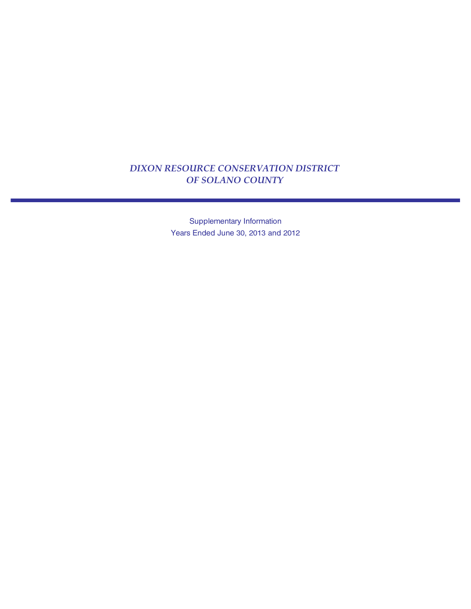Supplementary Information Years Ended June 30, 2013 and 2012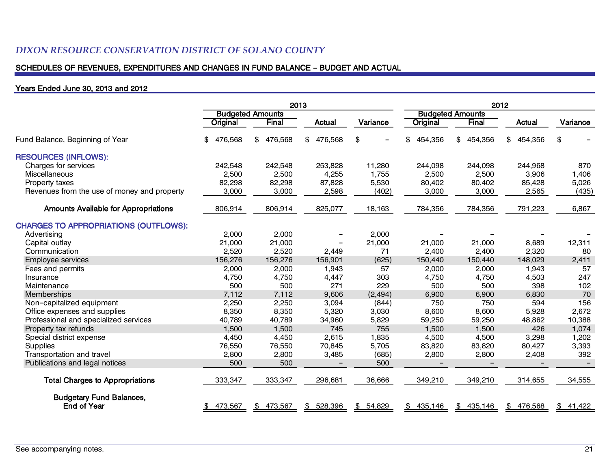## SCHEDULES OF REVENUES, EXPENDITURES AND CHANGES IN FUND BALANCE - BUDGET AND ACTUAL

## Years Ended June 30, 2013 and 2012

|                                              | 2013<br>2012    |                         |               |          |                      |                             |               |                     |
|----------------------------------------------|-----------------|-------------------------|---------------|----------|----------------------|-----------------------------|---------------|---------------------|
|                                              |                 | <b>Budgeted Amounts</b> |               |          |                      | <b>Budgeted Amounts</b>     |               |                     |
|                                              | <b>Original</b> | <b>Final</b>            | Actual        | Variance | Original             | <b>Final</b>                | Actual        | Variance            |
| Fund Balance, Beginning of Year              | 476,568         | \$<br>476,568           | \$<br>476,568 | \$       | 454,356<br>\$        | 454,356<br>\$               | \$<br>454,356 | \$                  |
| <b>RESOURCES (INFLOWS):</b>                  |                 |                         |               |          |                      |                             |               |                     |
| Charges for services                         | 242,548         | 242,548                 | 253,828       | 11,280   | 244,098              | 244,098                     | 244,968       | 870                 |
| <b>Miscellaneous</b>                         | 2,500           | 2,500                   | 4,255         | 1,755    | 2,500                | 2,500                       | 3,906         | 1,406               |
| Property taxes                               | 82,298          | 82,298                  | 87,828        | 5,530    | 80,402               | 80,402                      | 85,428        | 5,026               |
| Revenues from the use of money and property  | 3,000           | 3,000                   | 2,598         | (402)    | 3,000                | 3,000                       | 2,565         | (435)               |
|                                              |                 |                         |               |          |                      |                             |               |                     |
| <b>Amounts Available for Appropriations</b>  | 806,914         | 806,914                 | 825,077       | 18,163   | 784,356              | 784,356                     | 791,223       | 6,867               |
| <b>CHARGES TO APPROPRIATIONS (OUTFLOWS):</b> |                 |                         |               |          |                      |                             |               |                     |
| Advertising                                  | 2,000           | 2,000                   |               | 2,000    |                      |                             |               |                     |
| Capital outlay                               | 21,000          | 21,000                  |               | 21,000   | 21,000               | 21,000                      | 8,689         | 12,311              |
| Communication                                | 2,520           | 2,520                   | 2,449         | 71       | 2,400                | 2,400                       | 2,320         | 80                  |
| <b>Employee services</b>                     | 156,276         | 156,276                 | 156,901       | (625)    | 150,440              | 150,440                     | 148,029       | 2,411               |
| Fees and permits                             | 2,000           | 2,000                   | 1,943         | 57       | 2,000                | 2,000                       | 1,943         | 57                  |
| Insurance                                    | 4,750           | 4,750                   | 4,447         | 303      | 4,750                | 4,750                       | 4,503         | 247                 |
| Maintenance                                  | 500             | 500                     | 271           | 229      | 500                  | 500                         | 398           | 102                 |
| <b>Memberships</b>                           | 7,112           | 7,112                   | 9,606         | (2, 494) | 6,900                | 6,900                       | 6,830         | 70                  |
| Non-capitalized equipment                    | 2,250           | 2,250                   | 3,094         | (844)    | 750                  | 750                         | 594           | 156                 |
| Office expenses and supplies                 | 8,350           | 8,350                   | 5,320         | 3,030    | 8,600                | 8,600                       | 5,928         | 2,672               |
| Professional and specialized services        | 40,789          | 40,789                  | 34,960        | 5,829    | 59,250               | 59,250                      | 48,862        | 10,388              |
| Property tax refunds                         | 1,500           | 1,500                   | 745           | 755      | 1,500                | 1,500                       | 426           | 1,074               |
| Special district expense                     | 4,450           | 4,450                   | 2,615         | 1,835    | 4,500                | 4,500                       | 3,298         | 1,202               |
| <b>Supplies</b>                              | 76,550          | 76,550                  | 70,845        | 5,705    | 83,820               | 83,820                      | 80,427        | 3,393               |
| Transportation and travel                    | 2,800           | 2,800                   | 3,485         | (685)    | 2,800                | 2,800                       | 2,408         | 392                 |
| Publications and legal notices               | 500             | 500                     |               | 500      |                      |                             |               |                     |
| <b>Total Charges to Appropriations</b>       | 333,347         | 333,347                 | 296,681       | 36,666   | 349,210              | 349,210                     | 314,655       | 34,555              |
| <b>Budgetary Fund Balances,</b>              |                 |                         |               |          |                      |                             |               |                     |
| <b>End of Year</b>                           | 473,567<br>\$   | \$473,567               | \$528,396     | \$54,829 | \$<br><u>435,146</u> | <u>\$</u><br><u>435,146</u> | \$476,568     | <u>\$</u><br>41,422 |